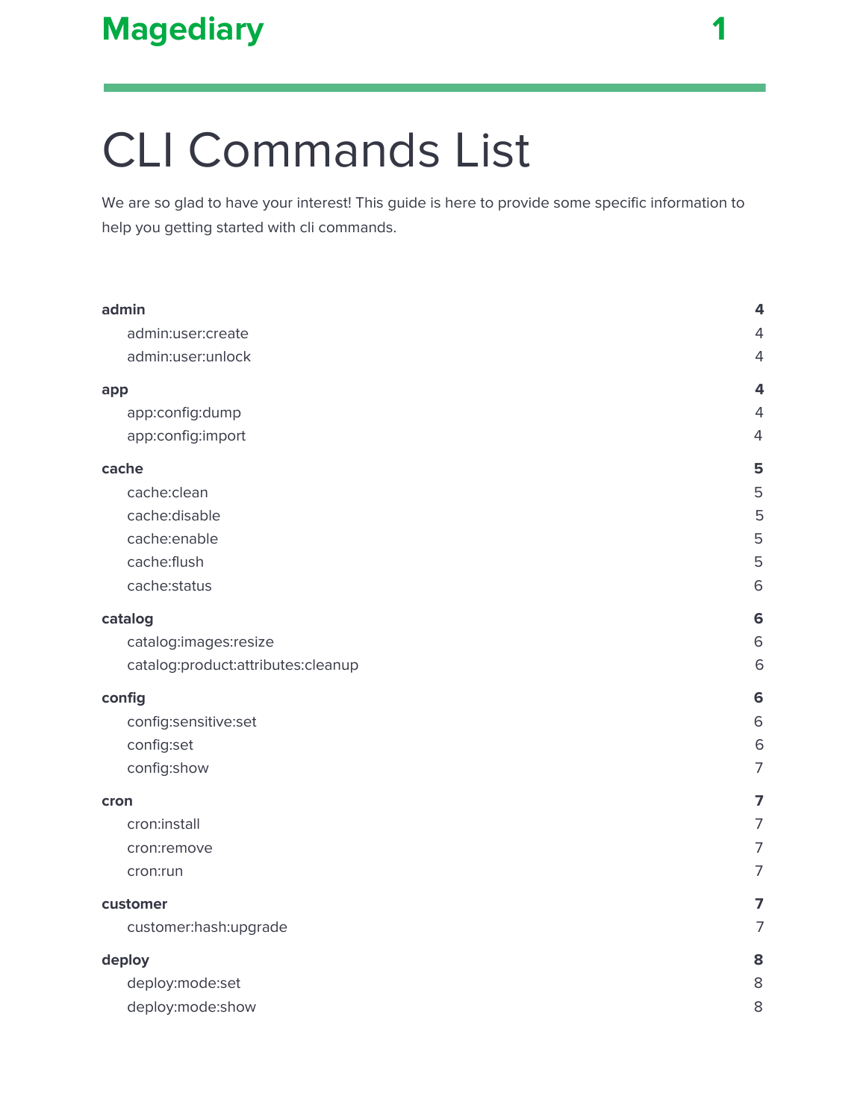

# CLI Commands List

We are so glad to have your interest! This guide is here to provide some specific information to help you getting started with cli commands.

| admin                              | 4              |
|------------------------------------|----------------|
| admin:user:create                  | $\overline{4}$ |
| admin:user:unlock                  | $\overline{4}$ |
| app                                | 4              |
| app:config:dump                    | $\overline{4}$ |
| app:config:import                  | $\overline{4}$ |
| cache                              | 5              |
| cache:clean                        | 5              |
| cache:disable                      | 5              |
| cache:enable                       | 5              |
| cache:flush                        | 5              |
| cache:status                       | 6              |
| catalog                            | 6              |
| catalog:images:resize              | $\,$ 6         |
| catalog:product:attributes:cleanup | 6              |
| config                             | 6              |
| config:sensitive:set               | 6              |
| config:set                         | 6              |
| config:show                        | $\overline{7}$ |
| cron                               | $\overline{7}$ |
| cron:install                       | $\overline{7}$ |
| cron:remove                        | $\overline{7}$ |
| cron:run                           | $\overline{7}$ |
| customer                           | $\overline{7}$ |
| customer:hash:upgrade              | $\overline{7}$ |
| deploy                             | 8              |
| deploy:mode:set                    | 8              |
| deploy:mode:show                   | 8              |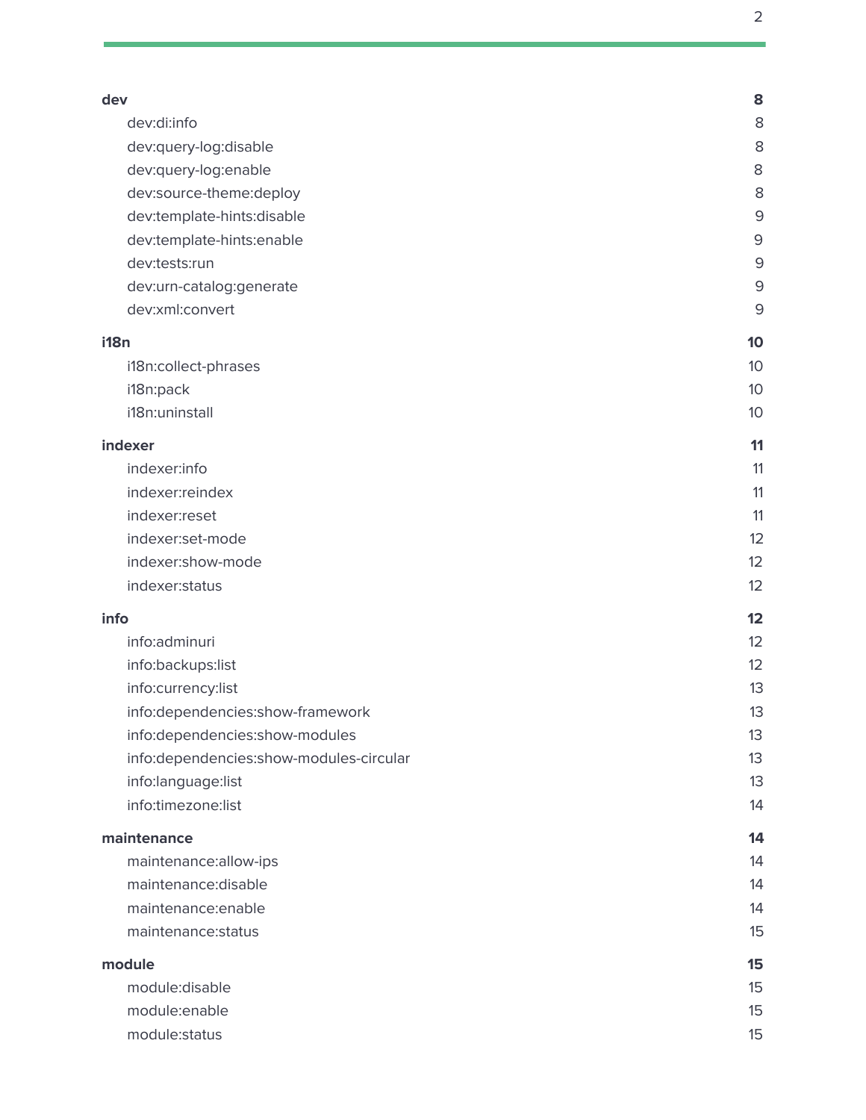| dev                                     | 8              |
|-----------------------------------------|----------------|
| dev:di:info                             | 8              |
| dev:query-log:disable                   | 8              |
| dev:query-log:enable                    | 8              |
| dev:source-theme:deploy                 | 8              |
| dev:template-hints:disable              | 9              |
| dev:template-hints:enable               | $\mathsf 9$    |
| dev:tests:run                           | $\overline{9}$ |
| dev:urn-catalog:generate                | $\mathsf 9$    |
| dev:xml:convert                         | 9              |
| i18n                                    | 10             |
| i18n:collect-phrases                    | 10             |
| i18n:pack                               | 10             |
| i18n:uninstall                          | 10             |
|                                         |                |
| indexer                                 | 11             |
| indexer:info                            | 11             |
| indexer:reindex                         | 11             |
| indexer:reset                           | 11             |
| indexer:set-mode                        | 12             |
| indexer:show-mode                       | 12             |
| indexer:status                          | 12             |
| info                                    | 12             |
| info:adminuri                           | 12             |
| info:backups:list                       | 12             |
| info:currency:list                      | 13             |
| info:dependencies:show-framework        | 13             |
| info:dependencies:show-modules          | 13             |
| info:dependencies:show-modules-circular | 13             |
| info:language:list                      | 13             |
| info:timezone:list                      | 14             |
| maintenance                             | 14             |
| maintenance:allow-ips                   | 14             |
| maintenance:disable                     | 14             |
| maintenance:enable                      | 14             |
| maintenance: status                     | 15             |
| module                                  | 15             |
| module:disable                          | 15             |
| module:enable                           | 15             |
| module:status                           | 15             |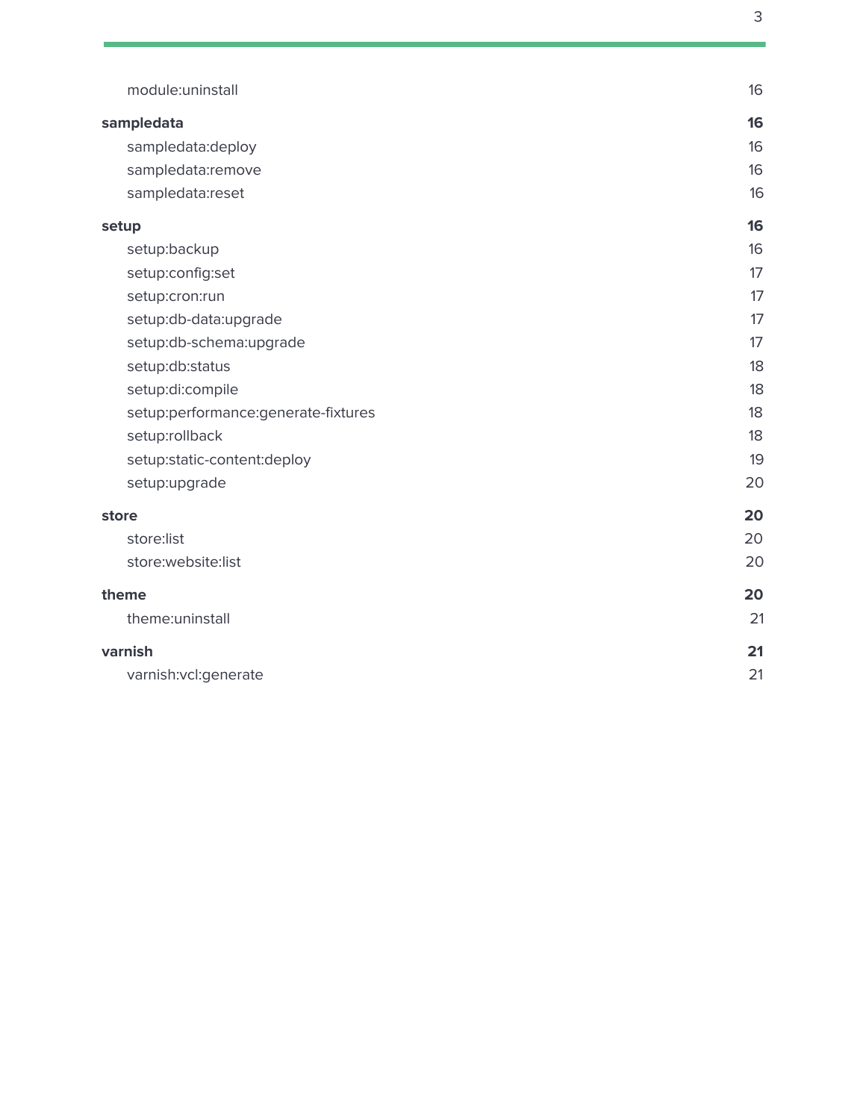| module:uninstall                    | 16 |
|-------------------------------------|----|
| sampledata                          | 16 |
| sampledata:deploy                   | 16 |
| sampledata:remove                   | 16 |
| sampledata:reset                    | 16 |
| setup                               | 16 |
| setup:backup                        | 16 |
| setup:config:set                    | 17 |
| setup:cron:run                      | 17 |
| setup:db-data:upgrade               | 17 |
| setup:db-schema:upgrade             | 17 |
| setup:db:status                     | 18 |
| setup:di:compile                    | 18 |
| setup:performance:generate-fixtures | 18 |
| setup:rollback                      | 18 |
| setup:static-content:deploy         | 19 |
| setup:upgrade                       | 20 |
| store                               | 20 |
| store:list                          | 20 |
| store:website:list                  | 20 |
| theme                               | 20 |
| theme:uninstall                     | 21 |
| varnish                             | 21 |
| varnish:vcl:generate                | 21 |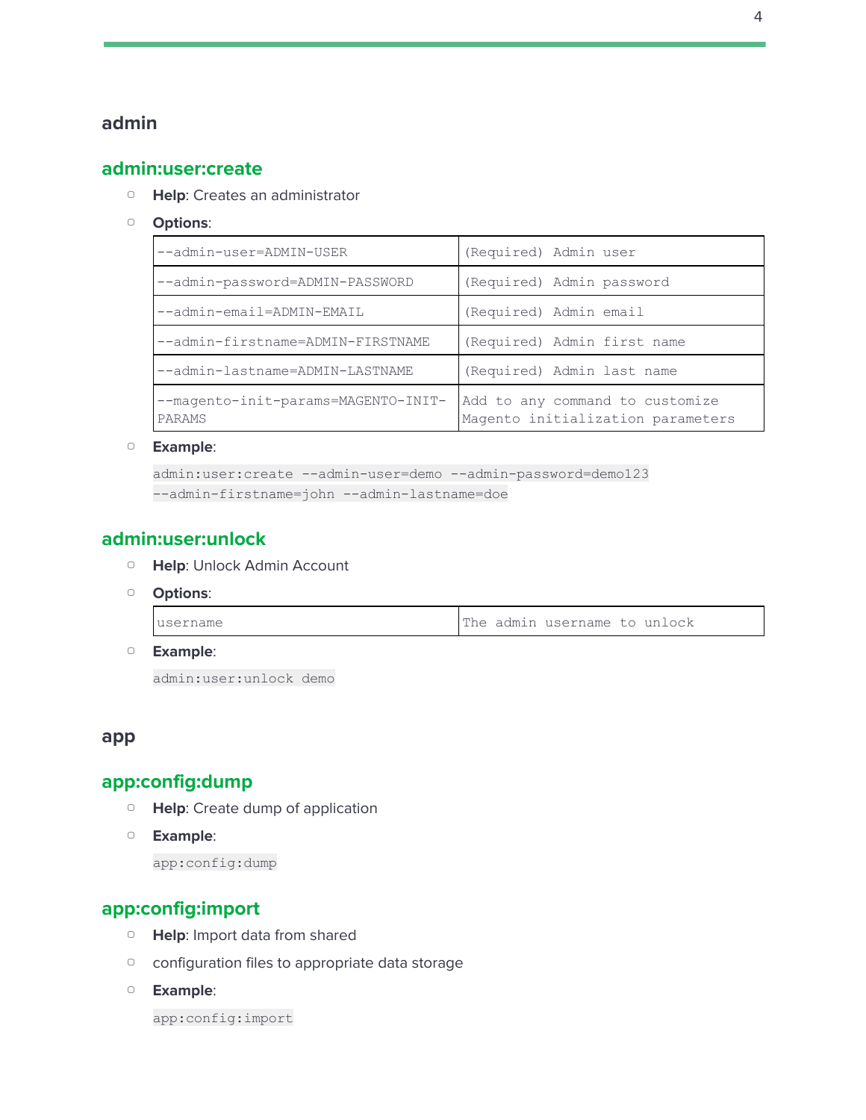# <span id="page-3-1"></span><span id="page-3-0"></span>**admin**

#### **admin:user:create**

- ▢ **Help**: Creates an administrator
- ▢ **Options**:

| --admin-user=ADMIN-USER                       | (Required) Admin user                                                |
|-----------------------------------------------|----------------------------------------------------------------------|
| --admin-password=ADMIN-PASSWORD               | (Required) Admin password                                            |
| --admin-email=ADMIN-EMAIL                     | (Required) Admin email                                               |
| --admin-firstname=ADMIN-FIRSTNAME             | (Required) Admin first name                                          |
| --admin-lastname=ADMIN-LASTNAME               | (Required) Admin last name                                           |
| --magento-init-params=MAGENTO-INIT-<br>PARAMS | Add to any command to customize<br>Magento initialization parameters |

▢ **Example**:

```
admin:user:create --admin-user=demo --admin-password=demo123
--admin-firstname=john --admin-lastname=doe
```
#### <span id="page-3-2"></span>**admin:user:unlock**

- ▢ **Help**: Unlock Admin Account
- ▢ **Options**:

| Iusername |  | The admin username to unlock |  |
|-----------|--|------------------------------|--|
|           |  |                              |  |

▢ **Example**:

admin:user:unlock demo

#### <span id="page-3-4"></span><span id="page-3-3"></span>**app**

# **app:config:dump**

- ▢ **Help**: Create dump of application
- ▢ **Example**:

app:config:dump

# <span id="page-3-5"></span>**app:config:import**

- ▢ **Help**: Import data from shared
- ▢ configuration files to appropriate data storage
- ▢ **Example**:

app:config:import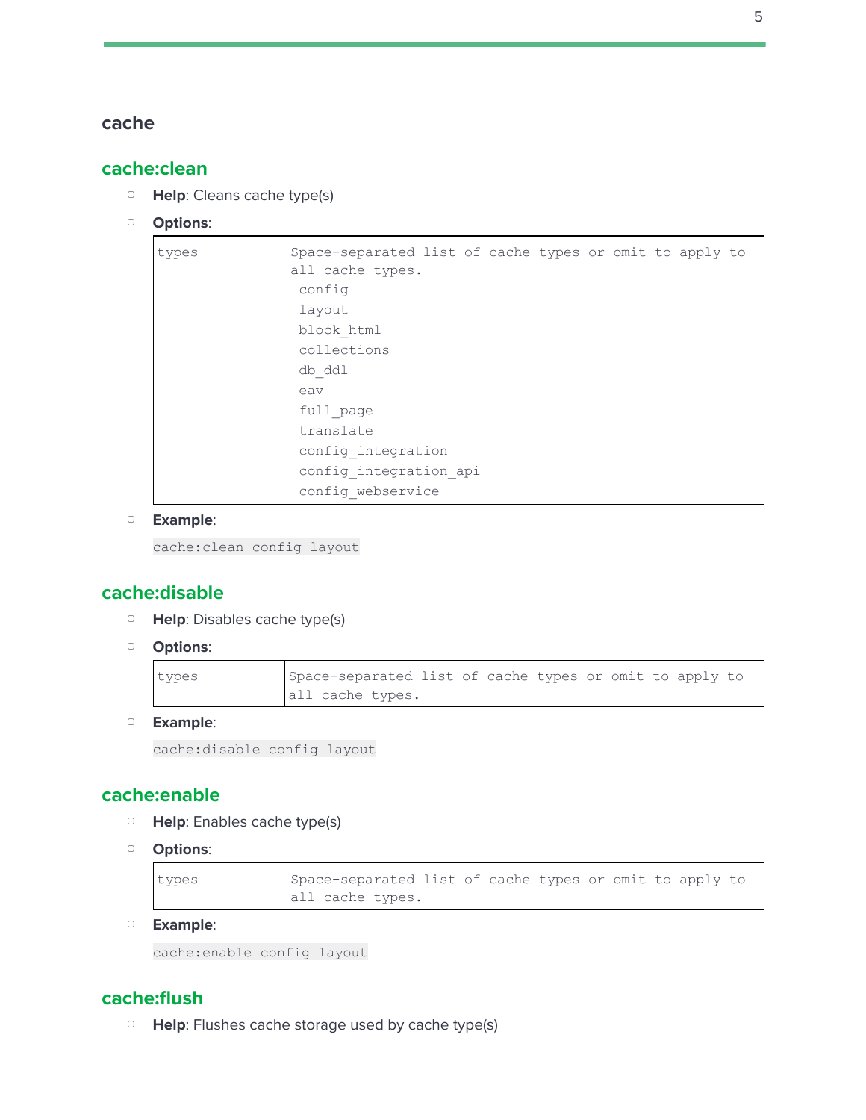#### <span id="page-4-1"></span><span id="page-4-0"></span>**cache**

# **cache:clean**

- ▢ **Help**: Cleans cache type(s)
- ▢ **Options**:

| types | Space-separated list of cache types or omit to apply to |
|-------|---------------------------------------------------------|
|       | all cache types.                                        |
|       | config                                                  |
|       | layout                                                  |
|       | block html                                              |
|       | collections                                             |
|       | db ddl                                                  |
|       | eav                                                     |
|       | full page                                               |
|       | translate                                               |
|       | config integration                                      |
|       | config integration api                                  |
|       | config webservice                                       |

#### ▢ **Example**:

cache:clean config layout

# <span id="page-4-2"></span>**cache:disable**

- ▢ **Help**: Disables cache type(s)
- ▢ **Options**:

| types | Space-separated list of cache types or omit to apply to |  |
|-------|---------------------------------------------------------|--|
|       | all cache types.                                        |  |

▢ **Example**:

```
cache:disable config layout
```
# <span id="page-4-3"></span>**cache:enable**

- ▢ **Help**: Enables cache type(s)
- ▢ **Options**:

| types | Space-separated list of cache types or omit to apply to |  |  |  |  |
|-------|---------------------------------------------------------|--|--|--|--|
|       | all cache types.                                        |  |  |  |  |

▢ **Example**:

```
cache:enable config layout
```
# <span id="page-4-4"></span>**cache:flush**

▢ **Help**: Flushes cache storage used by cache type(s)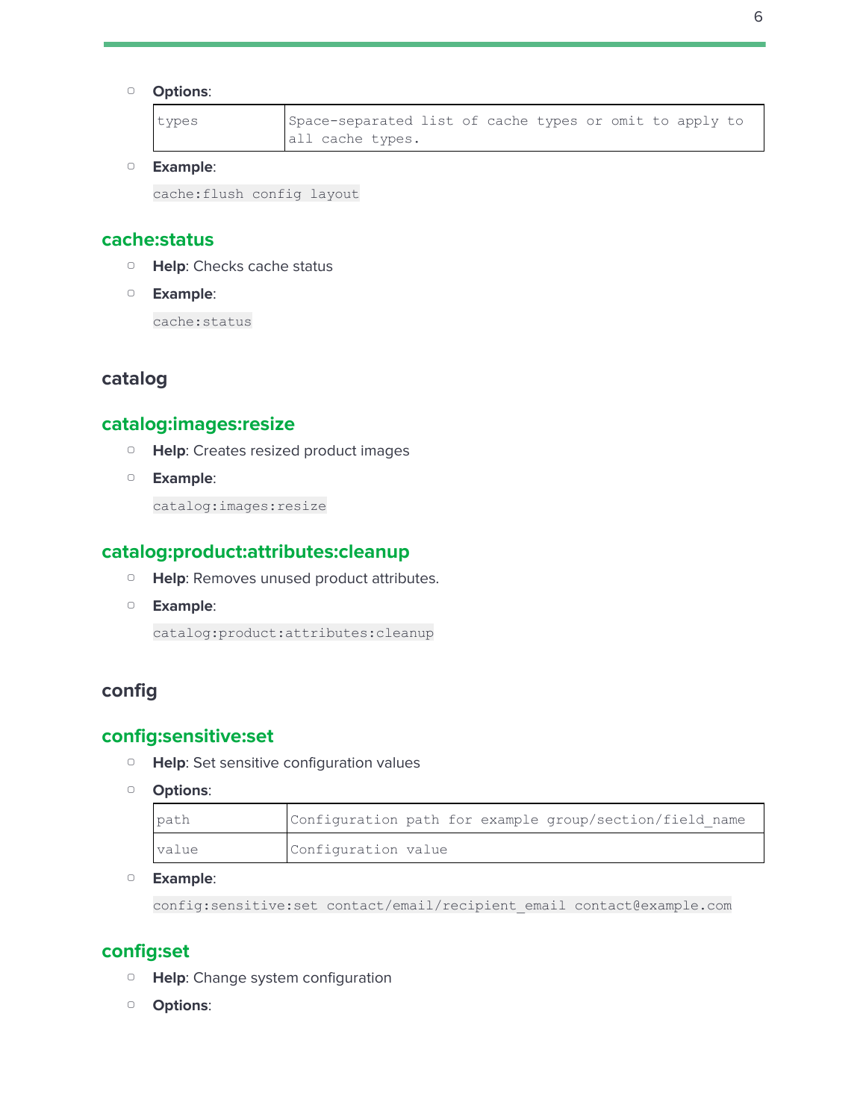#### ▢ **Options**:

| types | Space-separated list of cache types or omit to apply to |  |  |  |  |  |
|-------|---------------------------------------------------------|--|--|--|--|--|
|       | all cache types.                                        |  |  |  |  |  |

#### ▢ **Example**:

cache:flush config layout

#### <span id="page-5-0"></span>**cache:status**

- ▢ **Help**: Checks cache status
- ▢ **Example**:

cache:status

# <span id="page-5-2"></span><span id="page-5-1"></span>**catalog**

# **catalog:images:resize**

- ▢ **Help**: Creates resized product images
- ▢ **Example**:

catalog:images:resize

# <span id="page-5-3"></span>**catalog:product:attributes:cleanup**

- ▢ **Help**: Removes unused product attributes.
- ▢ **Example**:

catalog:product:attributes:cleanup

# <span id="page-5-5"></span><span id="page-5-4"></span>**config**

# **config:sensitive:set**

- ▢ **Help**: Set sensitive configuration values
- ▢ **Options**:

| path  | Configuration path for example group/section/field name |
|-------|---------------------------------------------------------|
| value | Configuration value                                     |

#### ▢ **Example**:

config:sensitive:set contact/email/recipient\_email contact@example.com

#### <span id="page-5-6"></span>**config:set**

- ▢ **Help**: Change system configuration
- ▢ **Options**: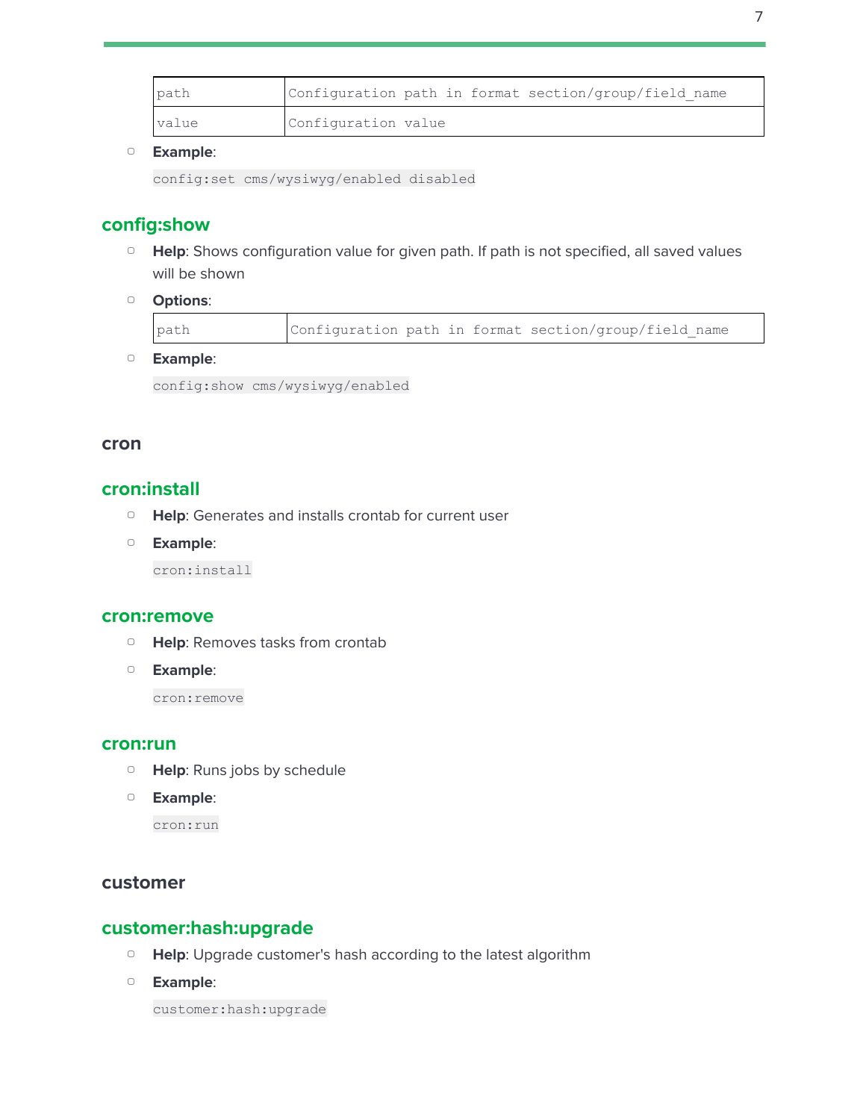| path  | Configuration path in format section/group/field name |
|-------|-------------------------------------------------------|
| value | Configuration value                                   |

config:set cms/wysiwyg/enabled disabled

# <span id="page-6-0"></span>**config:show**

- □ **Help**: Shows configuration value for given path. If path is not specified, all saved values will be shown
- ▢ **Options**:

| path<br>Configuration path in format section/group/field name |  |
|---------------------------------------------------------------|--|
|---------------------------------------------------------------|--|

▢ **Example**:

config:show cms/wysiwyg/enabled

#### <span id="page-6-2"></span><span id="page-6-1"></span>**cron**

#### **cron:install**

- ▢ **Help**: Generates and installs crontab for current user
- ▢ **Example**:

cron:install

#### <span id="page-6-3"></span>**cron:remove**

- ▢ **Help**: Removes tasks from crontab
- ▢ **Example**:

cron:remove

#### <span id="page-6-4"></span>**cron:run**

- ▢ **Help**: Runs jobs by schedule
- ▢ **Example**:

cron:run

#### <span id="page-6-6"></span><span id="page-6-5"></span>**customer**

# **customer:hash:upgrade**

- ▢ **Help**: Upgrade customer's hash according to the latest algorithm
- ▢ **Example**:

customer:hash:upgrade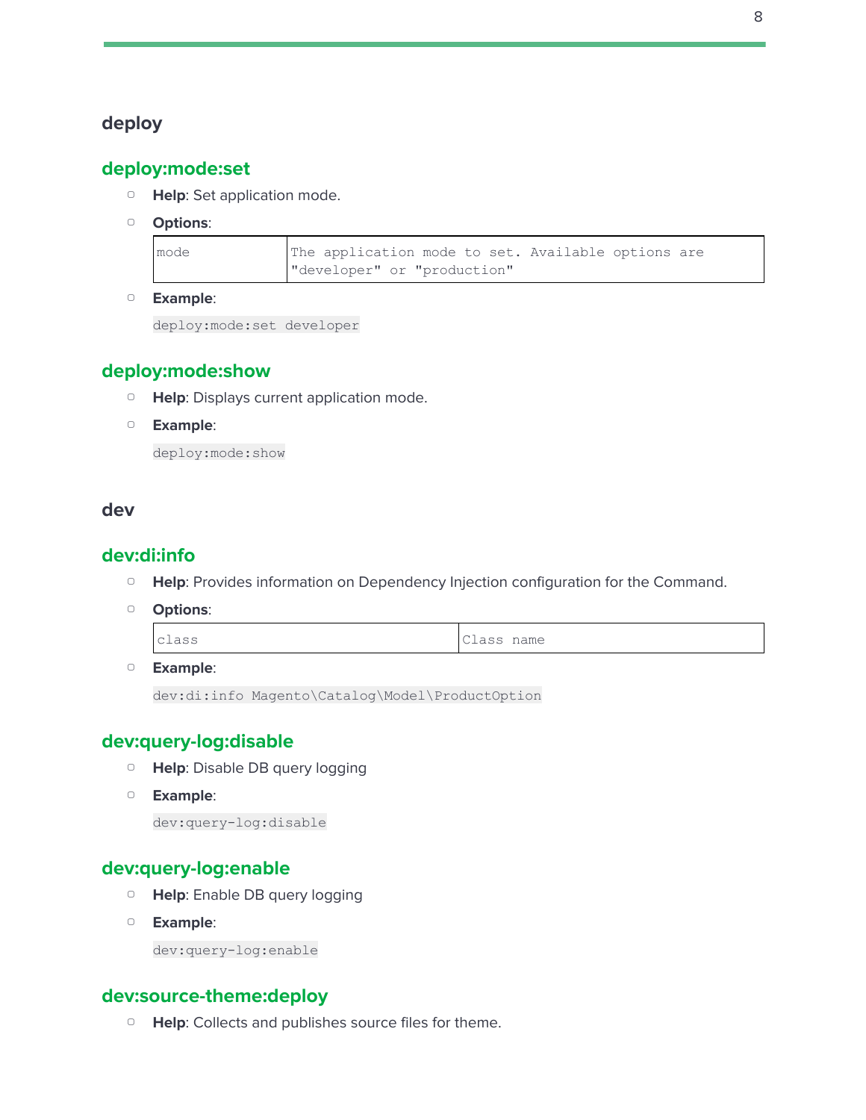# <span id="page-7-1"></span><span id="page-7-0"></span>**deploy**

# **deploy:mode:set**

- ▢ **Help**: Set application mode.
- ▢ **Options**:

| mode | The application mode to set. Available options are |
|------|----------------------------------------------------|
|      | "developer" or "production"                        |

▢ **Example**:

deploy:mode:set developer

#### <span id="page-7-2"></span>**deploy:mode:show**

- ▢ **Help**: Displays current application mode.
- ▢ **Example**:

deploy:mode:show

#### <span id="page-7-4"></span><span id="page-7-3"></span>**dev**

#### **dev:di:info**

- ▢ **Help**: Provides information on Dependency Injection configuration for the Command.
- ▢ **Options**:

| Class name<br>Class |
|---------------------|
|---------------------|

▢ **Example**:

```
dev:di:info Magento\Catalog\Model\ProductOption
```
# <span id="page-7-5"></span>**dev:query-log:disable**

- ▢ **Help**: Disable DB query logging
- ▢ **Example**:

```
dev:query-log:disable
```
#### <span id="page-7-6"></span>**dev:query-log:enable**

- ▢ **Help**: Enable DB query logging
- ▢ **Example**:

dev:query-log:enable

#### <span id="page-7-7"></span>**dev:source-theme:deploy**

▢ **Help**: Collects and publishes source files for theme.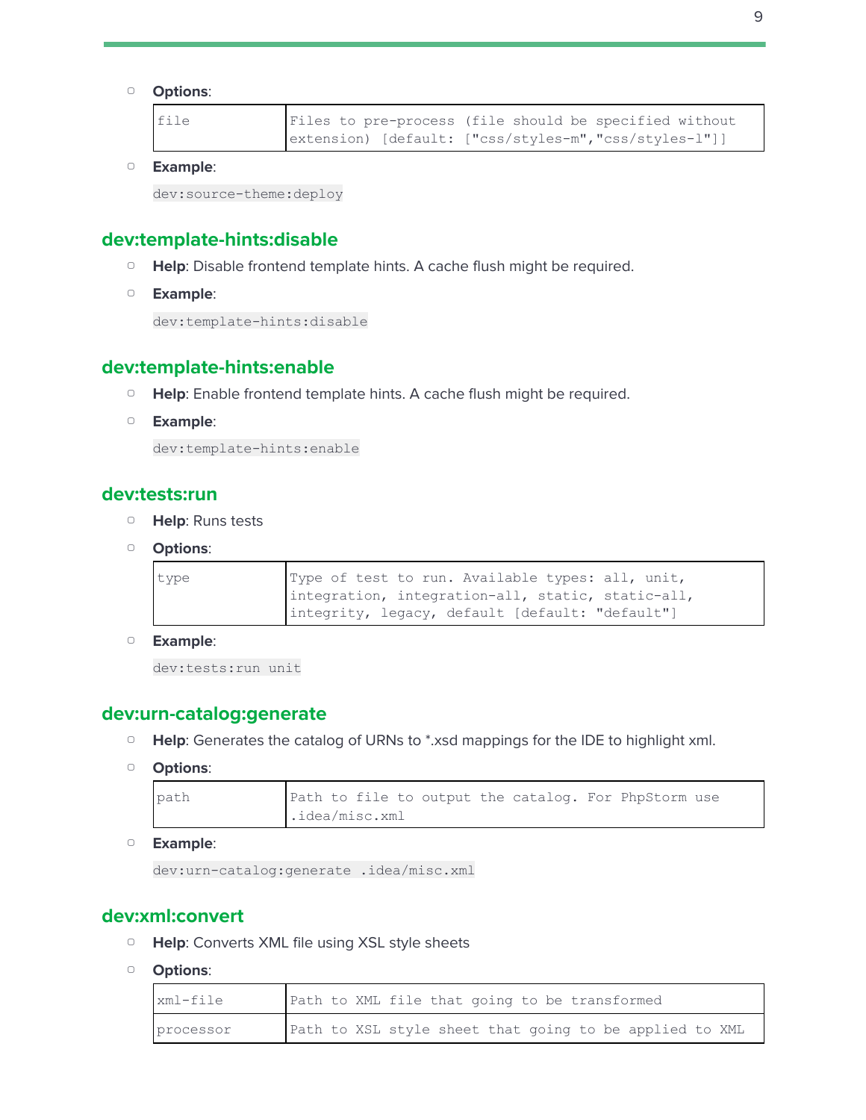#### ▢ **Options**:

| file | Files to pre-process (file should be specified without |
|------|--------------------------------------------------------|
|      | extension) [default: ["css/styles-m","css/styles-1"]]  |

▢ **Example**:

dev:source-theme:deploy

# <span id="page-8-0"></span>**dev:template-hints:disable**

- ▢ **Help**: Disable frontend template hints. A cache flush might be required.
- ▢ **Example**:

dev:template-hints:disable

# <span id="page-8-1"></span>**dev:template-hints:enable**

- □ **Help**: Enable frontend template hints. A cache flush might be required.
- ▢ **Example**:

dev:template-hints:enable

#### <span id="page-8-2"></span>**dev:tests:run**

- ▢ **Help**: Runs tests
- ▢ **Options**:

| type |  |  |  | Type of test to run. Available types: all, unit,  |  |
|------|--|--|--|---------------------------------------------------|--|
|      |  |  |  | integration, integration-all, static, static-all, |  |
|      |  |  |  | integrity, legacy, default [default: "default"]   |  |

▢ **Example**:

dev:tests:run unit

#### <span id="page-8-3"></span>**dev:urn-catalog:generate**

- ▢ **Help**: Generates the catalog of URNs to \*.xsd mappings for the IDE to highlight xml.
- ▢ **Options**:

| path |                |  |  |  |  |  | Path to file to output the catalog. For PhpStorm use |  |
|------|----------------|--|--|--|--|--|------------------------------------------------------|--|
|      | .idea/misc.xml |  |  |  |  |  |                                                      |  |

▢ **Example**:

dev:urn-catalog:generate .idea/misc.xml

#### <span id="page-8-4"></span>**dev:xml:convert**

- ▢ **Help**: Converts XML file using XSL style sheets
- ▢ **Options**:

| xml-file  |  | Path to XML file that going to be transformed           |  |  |  |
|-----------|--|---------------------------------------------------------|--|--|--|
| processor |  | Path to XSL style sheet that going to be applied to XML |  |  |  |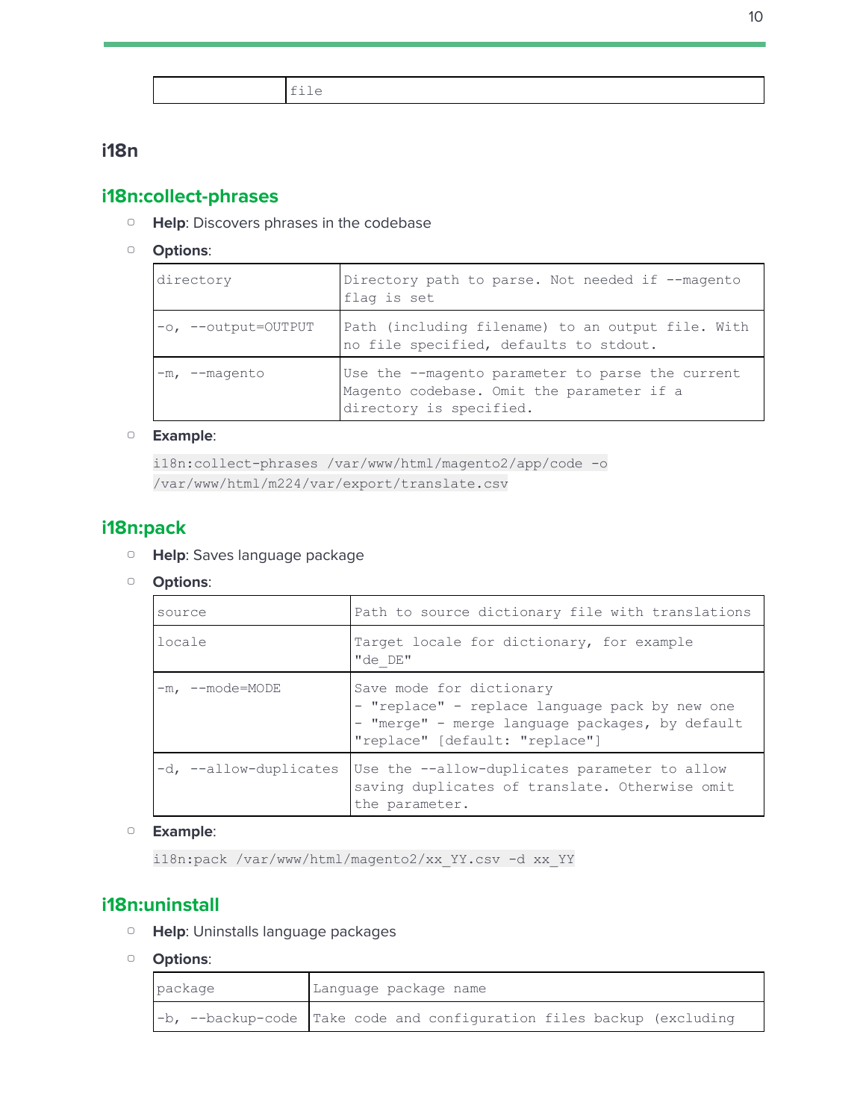

# <span id="page-9-1"></span><span id="page-9-0"></span>**i18n**

# **i18n:collect-phrases**

- ▢ **Help**: Discovers phrases in the codebase
- ▢ **Options**:

| directory           | Directory path to parse. Not needed if --magento<br>flag is set                                                          |
|---------------------|--------------------------------------------------------------------------------------------------------------------------|
| -o, --output=OUTPUT | Path (including filename) to an output file. With<br>no file specified, defaults to stdout.                              |
| $-m$ , $-magento$   | Use the --magento parameter to parse the current<br>Magento codebase. Omit the parameter if a<br>directory is specified. |

#### ▢ **Example**:

```
i18n:collect-phrases /var/www/html/magento2/app/code -o
/var/www/html/m224/var/export/translate.csv
```
# <span id="page-9-2"></span>**i18n:pack**

- ▢ **Help**: Saves language package
- ▢ **Options**:

| source                 | Path to source dictionary file with translations                                                                                                                |
|------------------------|-----------------------------------------------------------------------------------------------------------------------------------------------------------------|
| locale                 | Target locale for dictionary, for example<br>"de DE"                                                                                                            |
| $-m.$ $-$ mode=MODE    | Save mode for dictionary<br>- "replace" - replace language pack by new one<br>- "merge" - merge language packages, by default<br>"replace" [default: "replace"] |
| -d, --allow-duplicates | Use the --allow-duplicates parameter to allow<br>saving duplicates of translate. Otherwise omit<br>the parameter.                                               |

#### ▢ **Example**:

i18n:pack /var/www/html/magento2/xx\_YY.csv -d xx\_YY

# <span id="page-9-3"></span>**i18n:uninstall**

- ▢ **Help**: Uninstalls language packages
- ▢ **Options**:

| package | Language package name |  |  |                                                                          |  |  |  |
|---------|-----------------------|--|--|--------------------------------------------------------------------------|--|--|--|
|         |                       |  |  | $-b$ , --backup-code Take code and configuration files backup (excluding |  |  |  |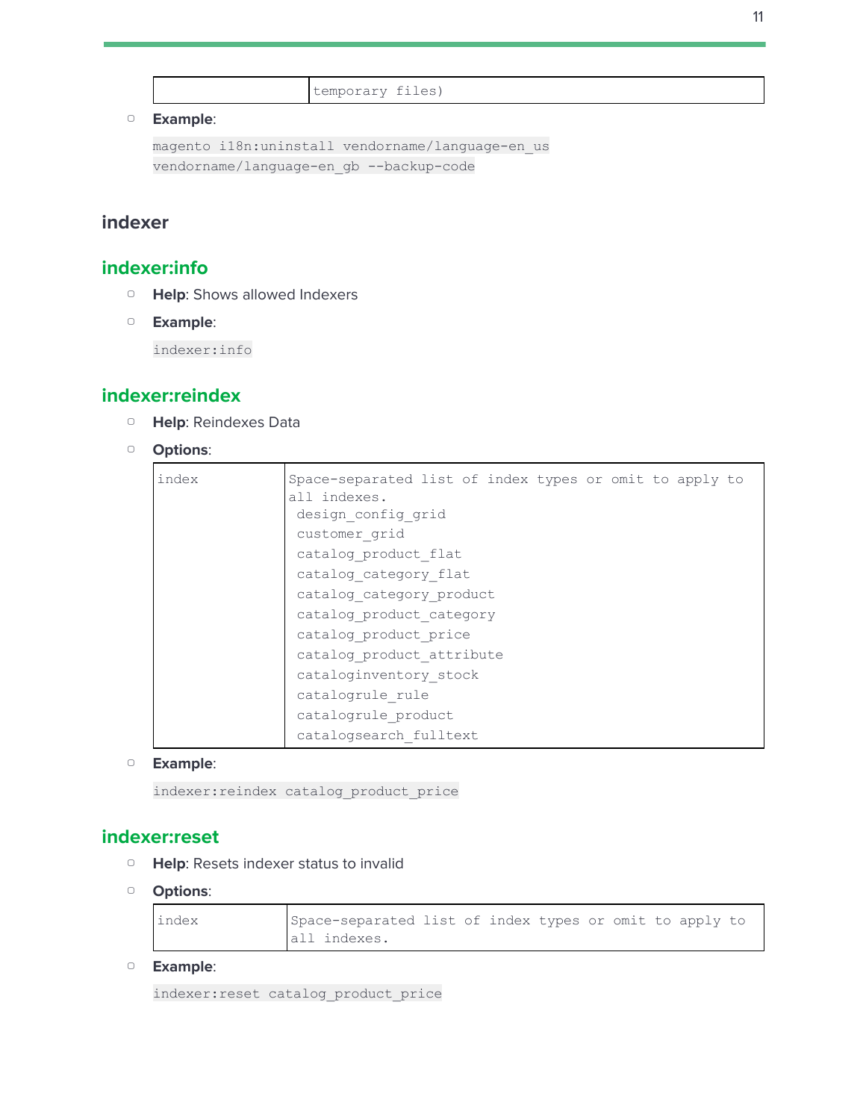```
temporary files)
```

```
magento i18n:uninstall vendorname/language-en_us
vendorname/language-en gb --backup-code
```
# <span id="page-10-1"></span><span id="page-10-0"></span>**indexer**

# **indexer:info**

- ▢ **Help**: Shows allowed Indexers
- ▢ **Example**:

indexer:info

# <span id="page-10-2"></span>**indexer:reindex**

- ▢ **Help**: Reindexes Data
- ▢ **Options**:

| index | Space-separated list of index types or omit to apply to |
|-------|---------------------------------------------------------|
|       | all indexes.                                            |
|       | design config grid                                      |
|       | customer grid                                           |
|       | catalog product flat                                    |
|       | catalog category flat                                   |
|       | catalog category product                                |
|       | catalog product category                                |
|       | catalog product price                                   |
|       | catalog product attribute                               |
|       | cataloginventory stock                                  |
|       | catalogrule rule                                        |
|       | catalogrule product                                     |
|       | catalogsearch fulltext                                  |

▢ **Example**:

indexer:reindex catalog\_product\_price

#### <span id="page-10-3"></span>**indexer:reset**

- ▢ **Help**: Resets indexer status to invalid
- ▢ **Options**:

| index | Space-separated list of index types or omit to apply to |
|-------|---------------------------------------------------------|
|       | all indexes.                                            |

▢ **Example**:

indexer:reset catalog\_product\_price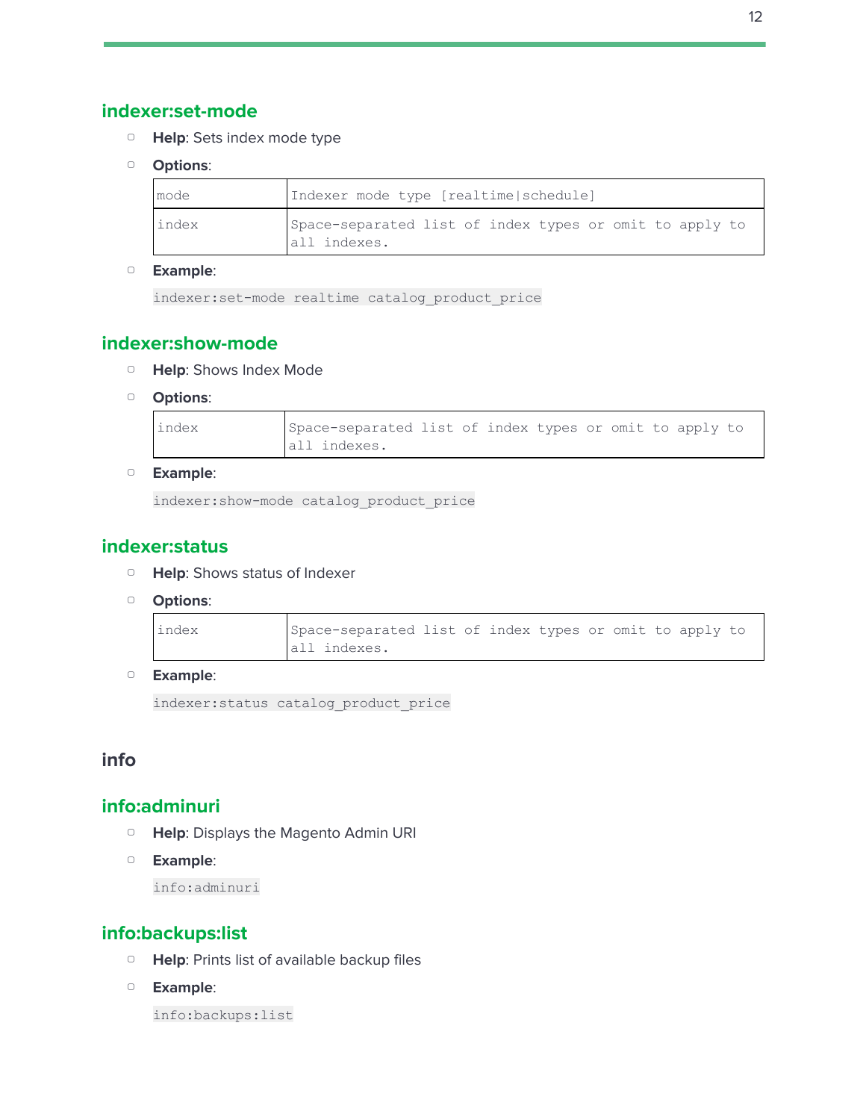- <span id="page-11-0"></span>▢ **Help**: Sets index mode type
- ▢ **Options**:

| mode  | Indexer mode type [realtime schedule]                                   |
|-------|-------------------------------------------------------------------------|
| index | Space-separated list of index types or omit to apply to<br>all indexes. |

```
indexer:set-mode realtime catalog_product_price
```
# <span id="page-11-1"></span>**indexer:show-mode**

- ▢ **Help**: Shows Index Mode
- ▢ **Options**:

| index | Space-separated list of index types or omit to apply to |  |  |  |  |
|-------|---------------------------------------------------------|--|--|--|--|
|       | all indexes.                                            |  |  |  |  |

#### ▢ **Example**:

indexer:show-mode catalog\_product\_price

# <span id="page-11-2"></span>**indexer:status**

- ▢ **Help**: Shows status of Indexer
- ▢ **Options**:

| index | Space-separated list of index types or omit to apply to |  |  |  |  |  |
|-------|---------------------------------------------------------|--|--|--|--|--|
|       | all indexes.                                            |  |  |  |  |  |

▢ **Example**:

indexer:status catalog\_product\_price

# <span id="page-11-4"></span><span id="page-11-3"></span>**info**

#### **info:adminuri**

- ▢ **Help**: Displays the Magento Admin URI
- ▢ **Example**:

info:adminuri

# <span id="page-11-5"></span>**info:backups:list**

- ▢ **Help**: Prints list of available backup files
- ▢ **Example**:

info:backups:list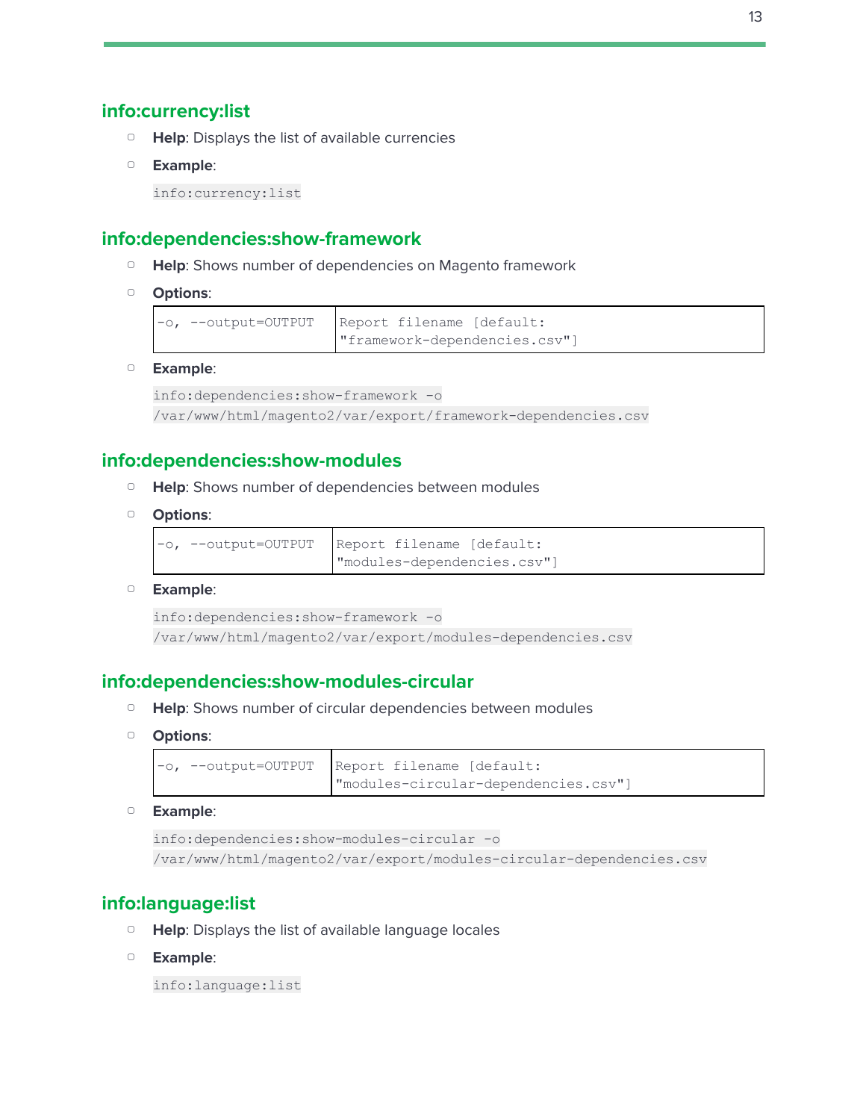#### <span id="page-12-0"></span>**info:currency:list**

- ▢ **Help**: Displays the list of available currencies
- ▢ **Example**:

info:currency:list

# <span id="page-12-1"></span>**info:dependencies:show-framework**

- ▢ **Help**: Shows number of dependencies on Magento framework
- ▢ **Options**:

|  | -o, --output=OUTPUT Report filename [default: |
|--|-----------------------------------------------|
|  | "framework-dependencies.csv"]                 |

▢ **Example**:

```
info:dependencies:show-framework -o
/var/www/html/magento2/var/export/framework-dependencies.csv
```
# <span id="page-12-2"></span>**info:dependencies:show-modules**

- ▢ **Help**: Shows number of dependencies between modules
- ▢ **Options**:

```
-o, --output=OUTPUT Report filename [default:
                     "modules-dependencies.csv"]
```
▢ **Example**:

```
info:dependencies:show-framework -o
/var/www/html/magento2/var/export/modules-dependencies.csv
```
#### <span id="page-12-3"></span>**info:dependencies:show-modules-circular**

- ▢ **Help**: Shows number of circular dependencies between modules
- ▢ **Options**:

```
-o, --output=OUTPUT Report filename [default:
                     "modules-circular-dependencies.csv"]
```
▢ **Example**:

```
info:dependencies:show-modules-circular -o
/var/www/html/magento2/var/export/modules-circular-dependencies.csv
```
# <span id="page-12-4"></span>**info:language:list**

- ▢ **Help**: Displays the list of available language locales
- ▢ **Example**:

info:language:list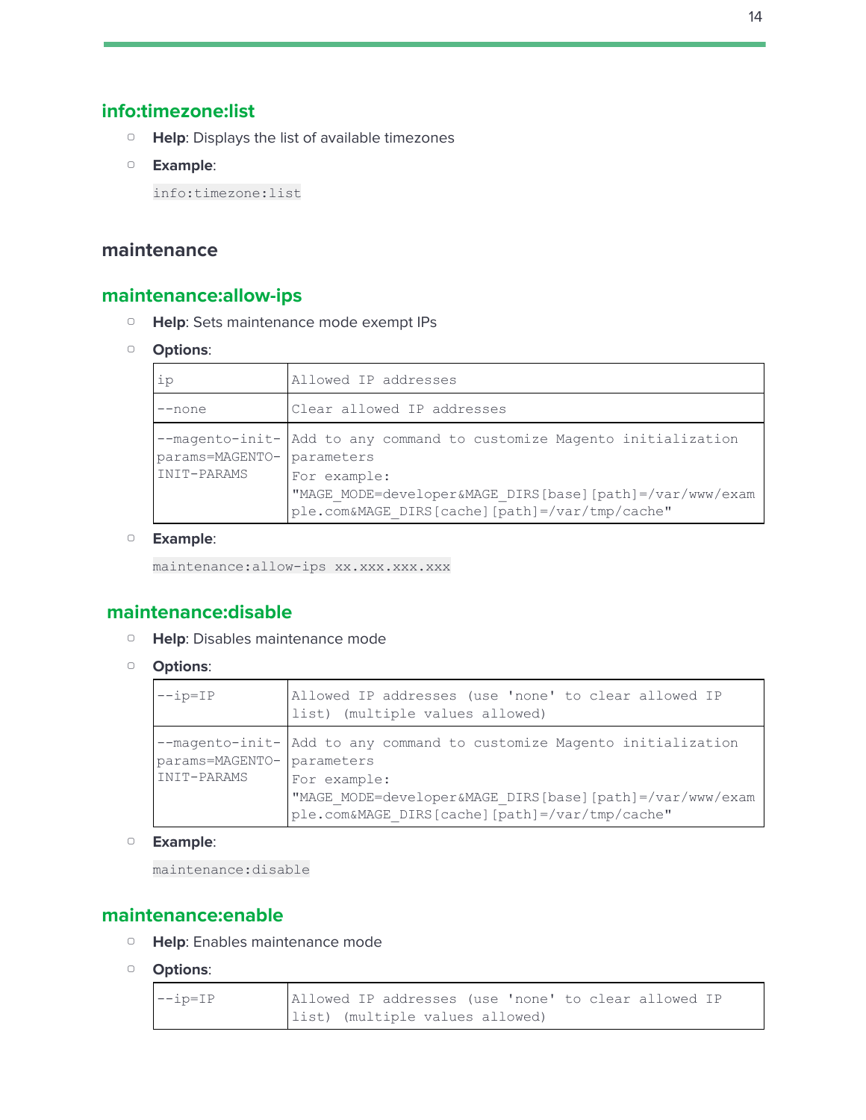# <span id="page-13-0"></span>**info:timezone:list**

- ▢ **Help**: Displays the list of available timezones
- ▢ **Example**:

info:timezone:list

# <span id="page-13-2"></span><span id="page-13-1"></span>**maintenance**

# **maintenance:allow-ips**

- ▢ **Help**: Sets maintenance mode exempt IPs
- ▢ **Options**:

| ip                             | Allowed IP addresses                                                                                                                                                                                               |
|--------------------------------|--------------------------------------------------------------------------------------------------------------------------------------------------------------------------------------------------------------------|
| $-$ none                       | Clear allowed IP addresses                                                                                                                                                                                         |
| params=MAGENTO-<br>INIT-PARAMS | --magento-init- Add to any command to customize Magento initialization<br>parameters<br>For example:<br>"MAGE MODE=developer&MAGE DIRS[base][path]=/var/www/exam<br>ple.com&MAGE DIRS[cache][path]=/var/tmp/cache" |

#### ▢ **Example**:

maintenance:allow-ips xx.xxx.xxx.xxx

# <span id="page-13-3"></span>**maintenance:disable**

- ▢ **Help**: Disables maintenance mode
- ▢ **Options**:

| $-\text{ip=IP}$                           | Allowed IP addresses (use 'none' to clear allowed IP<br>list) (multiple values allowed)                                                                                                              |
|-------------------------------------------|------------------------------------------------------------------------------------------------------------------------------------------------------------------------------------------------------|
| params=MAGENTO- parameters<br>INIT-PARAMS | --magento-init- Add to any command to customize Magento initialization<br>For example:<br>"MAGE MODE=developer&MAGE DIRS[base][path]=/var/www/exam<br>ple.com&MAGE DIRS[cache][path]=/var/tmp/cache" |

▢ **Example**:

maintenance:disable

#### <span id="page-13-4"></span>**maintenance:enable**

- ▢ **Help**: Enables maintenance mode
- ▢ **Options**:

| $-\text{ip=IP}$ | Allowed IP addresses (use 'none' to clear allowed IP |
|-----------------|------------------------------------------------------|
|                 | list) (multiple values allowed)                      |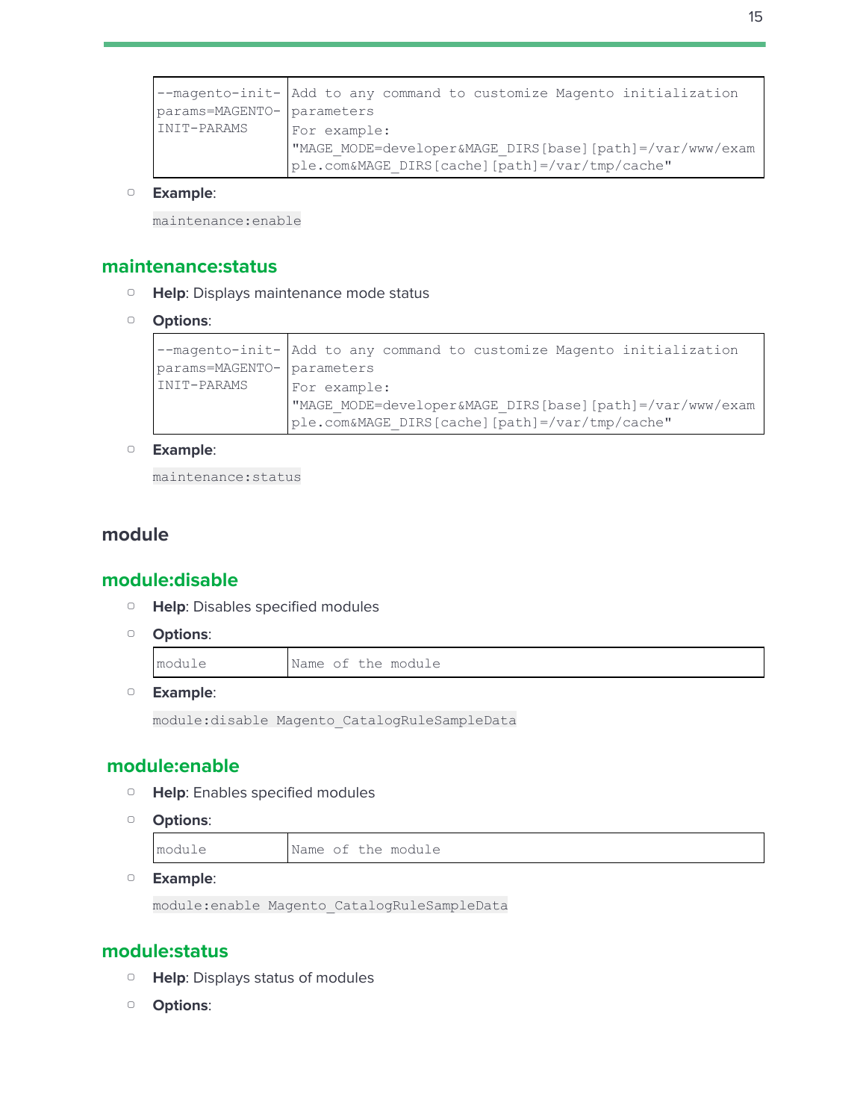```
--magento-init-
params=MAGENTO-
INIT-PARAMS
                Add to any command to customize Magento initialization
                parameters
                For example:
                "MAGE_MODE=developer&MAGE_DIRS[base][path]=/var/www/exam
                ple.com&MAGE_DIRS[cache][path]=/var/tmp/cache"
```
maintenance:enable

#### <span id="page-14-0"></span>**maintenance:status**

- ▢ **Help**: Displays maintenance mode status
- ▢ **Options**:

```
--magento-init-
params=MAGENTO-
parameters
INIT-PARAMS
               Add to any command to customize Magento initialization
                For example:
                "MAGE_MODE=developer&MAGE_DIRS[base][path]=/var/www/exam
                ple.com&MAGE_DIRS[cache][path]=/var/tmp/cache"
```
▢ **Example**:

maintenance:status

#### <span id="page-14-2"></span><span id="page-14-1"></span>**module**

#### **module:disable**

- ▢ **Help**: Disables specified modules
- ▢ **Options**:

| Name of the module |  |
|--------------------|--|
|--------------------|--|

▢ **Example**:

module:disable Magento\_CatalogRuleSampleData

#### <span id="page-14-3"></span>**module:enable**

- ▢ **Help**: Enables specified modules
- ▢ **Options**:

```
module Name of the module
```
▢ **Example**:

module:enable Magento\_CatalogRuleSampleData

#### <span id="page-14-4"></span>**module:status**

- ▢ **Help**: Displays status of modules
- ▢ **Options**: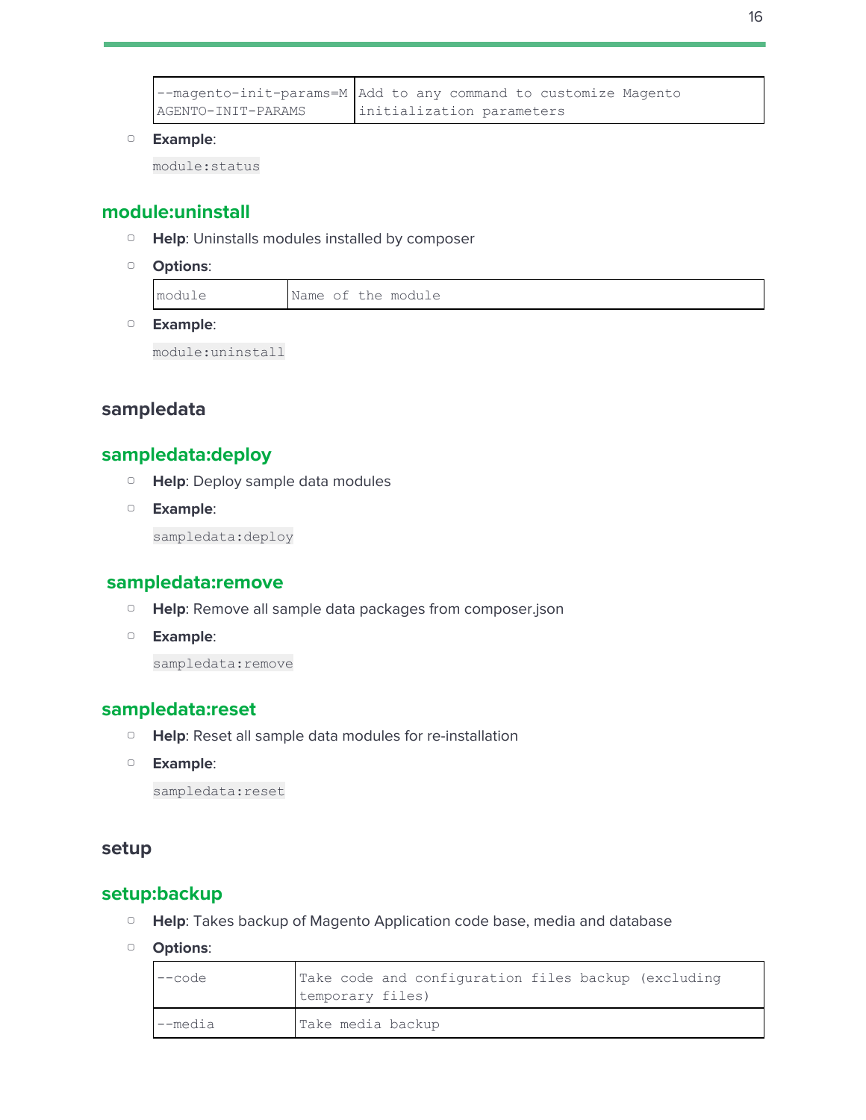|                    | --magento-init-params=M Add to any command to customize Magento |
|--------------------|-----------------------------------------------------------------|
| AGENTO-INIT-PARAMS | initialization parameters                                       |

module:status

# <span id="page-15-0"></span>**module:uninstall**

- ▢ **Help**: Uninstalls modules installed by composer
- ▢ **Options**:

module Name of the module

▢ **Example**:

module:uninstall

# <span id="page-15-2"></span><span id="page-15-1"></span>**sampledata**

# **sampledata:deploy**

- ▢ **Help**: Deploy sample data modules
- ▢ **Example**:

sampledata:deploy

#### <span id="page-15-3"></span>**sampledata:remove**

- ▢ **Help**: Remove all sample data packages from composer.json
- ▢ **Example**:

sampledata: remove

#### <span id="page-15-4"></span>**sampledata:reset**

- ▢ **Help**: Reset all sample data modules for re-installation
- ▢ **Example**:

sampledata:reset

#### <span id="page-15-6"></span><span id="page-15-5"></span>**setup**

#### **setup:backup**

- ▢ **Help**: Takes backup of Magento Application code base, media and database
- ▢ **Options**:

| $---code$ | Take code and configuration files backup (excluding<br>temporary files) |  |  |  |
|-----------|-------------------------------------------------------------------------|--|--|--|
| l--media  | Take media backup                                                       |  |  |  |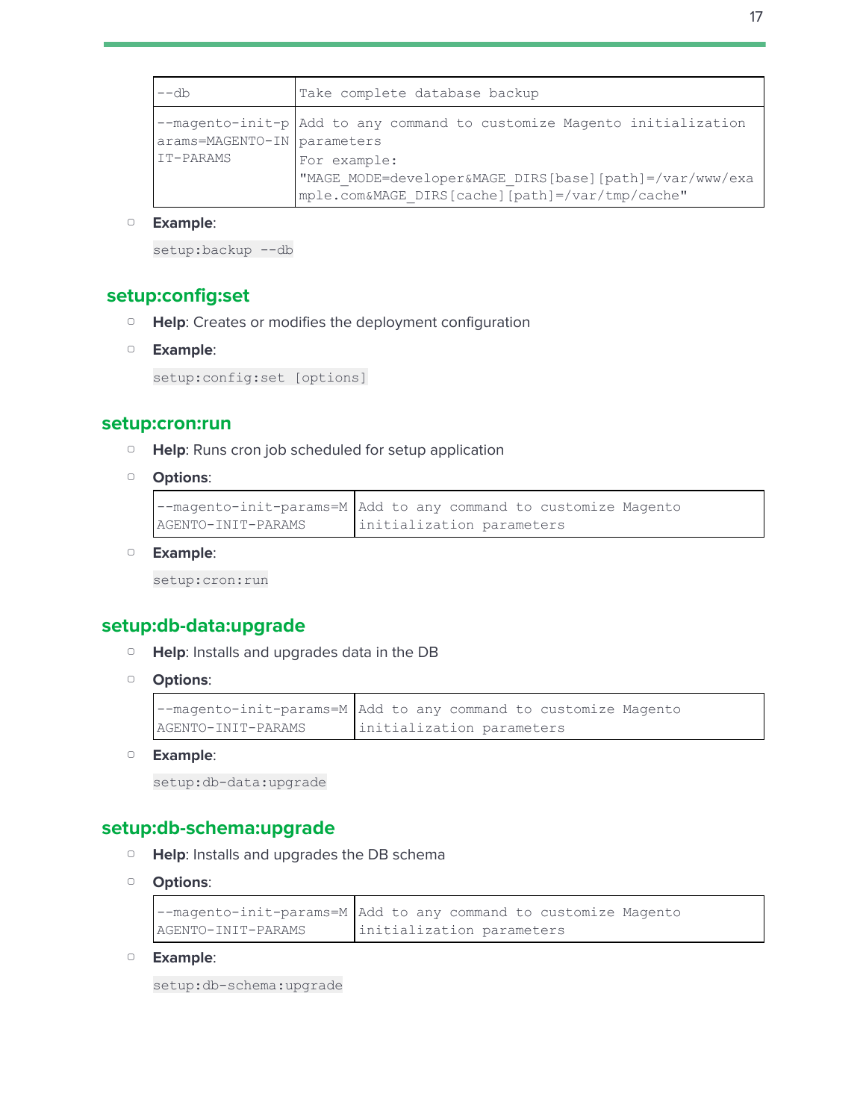| $--db$                      | Take complete database backup                                                                                              |
|-----------------------------|----------------------------------------------------------------------------------------------------------------------------|
| arams=MAGENTO-IN parameters | --magento-init-p Add to any command to customize Magento initialization                                                    |
| IT-PARAMS                   | For example:<br>"MAGE MODE=developer&MAGE DIRS[base][path]=/var/www/exa<br>mple.com&MAGE DIRS[cache][path]=/var/tmp/cache" |

setup:backup --db

#### <span id="page-16-0"></span>**setup:config:set**

- ▢ **Help**: Creates or modifies the deployment configuration
- ▢ **Example**:

setup:config:set [options]

#### <span id="page-16-1"></span>**setup:cron:run**

- ▢ **Help**: Runs cron job scheduled for setup application
- ▢ **Options**:

```
--magento-init-params=M
Add to any command to customize Magento
AGENTO-INIT-PARAMS
                        initialization parameters
```
▢ **Example**:

setup:cron:run

#### <span id="page-16-2"></span>**setup:db-data:upgrade**

- ▢ **Help**: Installs and upgrades data in the DB
- ▢ **Options**:

```
--magento-init-params=M
AGENTO-INIT-PARAMS
                        Add to any command to customize Magento
                        initialization parameters
```
▢ **Example**:

```
setup:db-data:upgrade
```
#### <span id="page-16-3"></span>**setup:db-schema:upgrade**

- ▢ **Help**: Installs and upgrades the DB schema
- ▢ **Options**:

```
--magento-init-params=M
Add to any command to customize Magento
AGENTO-INIT-PARAMS
                        initialization parameters
```
▢ **Example**:

setup:db-schema:upgrade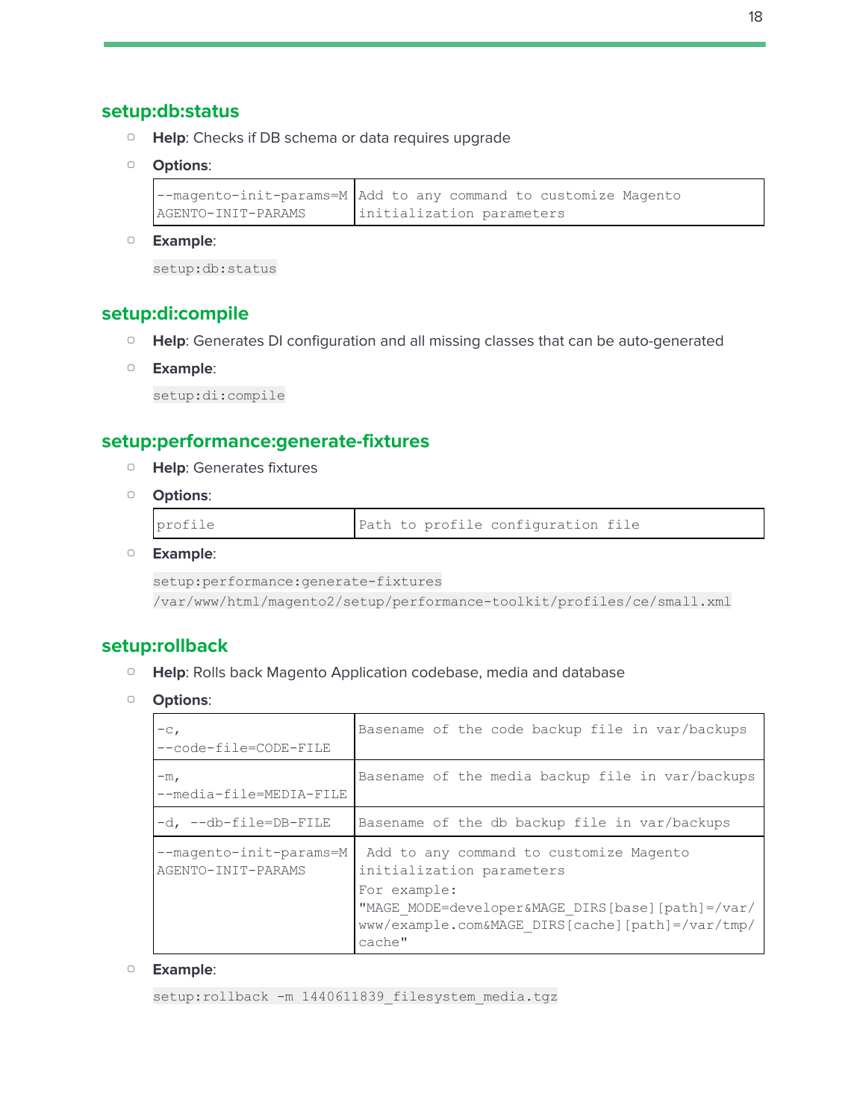#### <span id="page-17-0"></span>**setup:db:status**

- ▢ **Help**: Checks if DB schema or data requires upgrade
- ▢ **Options**:

```
--magento-init-params=M
Add to any command to customize Magento
AGENTO-INIT-PARAMS
                        initialization parameters
```
▢ **Example**:

setup:db:status

# <span id="page-17-1"></span>**setup:di:compile**

- ▢ **Help**: Generates DI configuration and all missing classes that can be auto-generated
- ▢ **Example**:

setup:di:compile

# <span id="page-17-2"></span>**setup:performance:generate-fixtures**

- ▢ **Help**: Generates fixtures
- ▢ **Options**:

| profile |  |  |  | Path to profile configuration file |  |  |
|---------|--|--|--|------------------------------------|--|--|
|---------|--|--|--|------------------------------------|--|--|

▢ **Example**:

```
setup:performance:generate-fixtures
/var/www/html/magento2/setup/performance-toolkit/profiles/ce/small.xml
```
#### <span id="page-17-3"></span>**setup:rollback**

- ▢ **Help**: Rolls back Magento Application codebase, media and database
- ▢ **Options**:

| $-c1$<br>--code-file=CODE-FILE                | Basename of the code backup file in var/backups                                                                                                                                                        |
|-----------------------------------------------|--------------------------------------------------------------------------------------------------------------------------------------------------------------------------------------------------------|
| $-mr$<br>--media-file=MEDIA-FILE              | Basename of the media backup file in var/backups                                                                                                                                                       |
| -d, --db-file=DB-FILE                         | Basename of the db backup file in var/backups                                                                                                                                                          |
| --magento-init-params=M<br>AGENTO-INIT-PARAMS | Add to any command to customize Magento<br>initialization parameters<br>For example:<br>"MAGE MODE=developer&MAGE DIRS[base][path]=/var/<br>www/example.com&MAGE DIRS[cache][path]=/var/tmp/<br>cache" |

#### ▢ **Example**:

setup:rollback -m 1440611839 filesystem media.tgz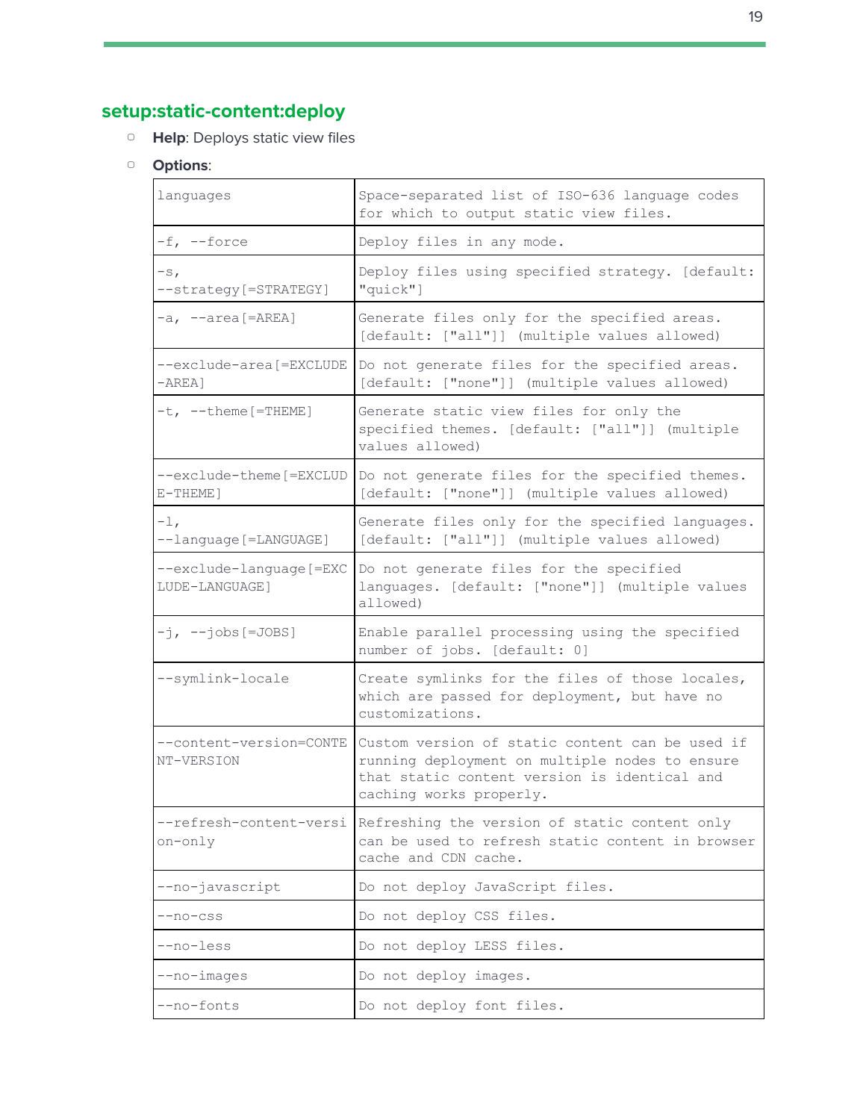# <span id="page-18-0"></span>**setup:static-content:deploy**

- ▢ **Help**: Deploys static view files
- ▢ **Options**:

| languages                                  | Space-separated list of ISO-636 language codes<br>for which to output static view files.                                                                                     |
|--------------------------------------------|------------------------------------------------------------------------------------------------------------------------------------------------------------------------------|
| -f, --force                                | Deploy files in any mode.                                                                                                                                                    |
| $-SI$<br>--strategy[=STRATEGY]             | Deploy files using specified strategy. [default:<br>"quick"]                                                                                                                 |
| $-a, -area[ = AREA]$                       | Generate files only for the specified areas.<br>[default: ["all"]] (multiple values allowed)                                                                                 |
| --exclude-area [=EXCLUDE<br>$-AREA$ ]      | Do not generate files for the specified areas.<br>[default: ["none"]] (multiple values allowed)                                                                              |
| $-t$ , $-t$ heme [=THEME]                  | Generate static view files for only the<br>specified themes. [default: ["all"]] (multiple<br>values allowed)                                                                 |
| --exclude-theme [=EXCLUD<br>E-THEME]       | Do not generate files for the specified themes.<br>[default: ["none"]] (multiple values allowed)                                                                             |
| $-1$ ,<br>--language [=LANGUAGE]           | Generate files only for the specified languages.<br>[default: ["all"]] (multiple values allowed)                                                                             |
| --exclude-language [=EXC<br>LUDE-LANGUAGE] | Do not generate files for the specified<br>languages. [default: ["none"]] (multiple values<br>allowed)                                                                       |
| $-j$ , $- j$ obs[=JOBS]                    | Enable parallel processing using the specified<br>number of jobs. [default: 0]                                                                                               |
| --symlink-locale                           | Create symlinks for the files of those locales,<br>which are passed for deployment, but have no<br>customizations.                                                           |
| --content-version=CONTE<br>NT-VERSION      | Custom version of static content can be used if<br>running deployment on multiple nodes to ensure<br>that static content version is identical and<br>caching works properly. |
| --refresh-content-versi<br>on-only         | Refreshing the version of static content only<br>can be used to refresh static content in browser<br>cache and CDN cache.                                                    |
| --no-javascript                            | Do not deploy JavaScript files.                                                                                                                                              |
| $-$ no-css                                 | Do not deploy CSS files.                                                                                                                                                     |
| --no-less                                  | Do not deploy LESS files.                                                                                                                                                    |
| --no-images                                | Do not deploy images.                                                                                                                                                        |
| --no-fonts                                 | Do not deploy font files.                                                                                                                                                    |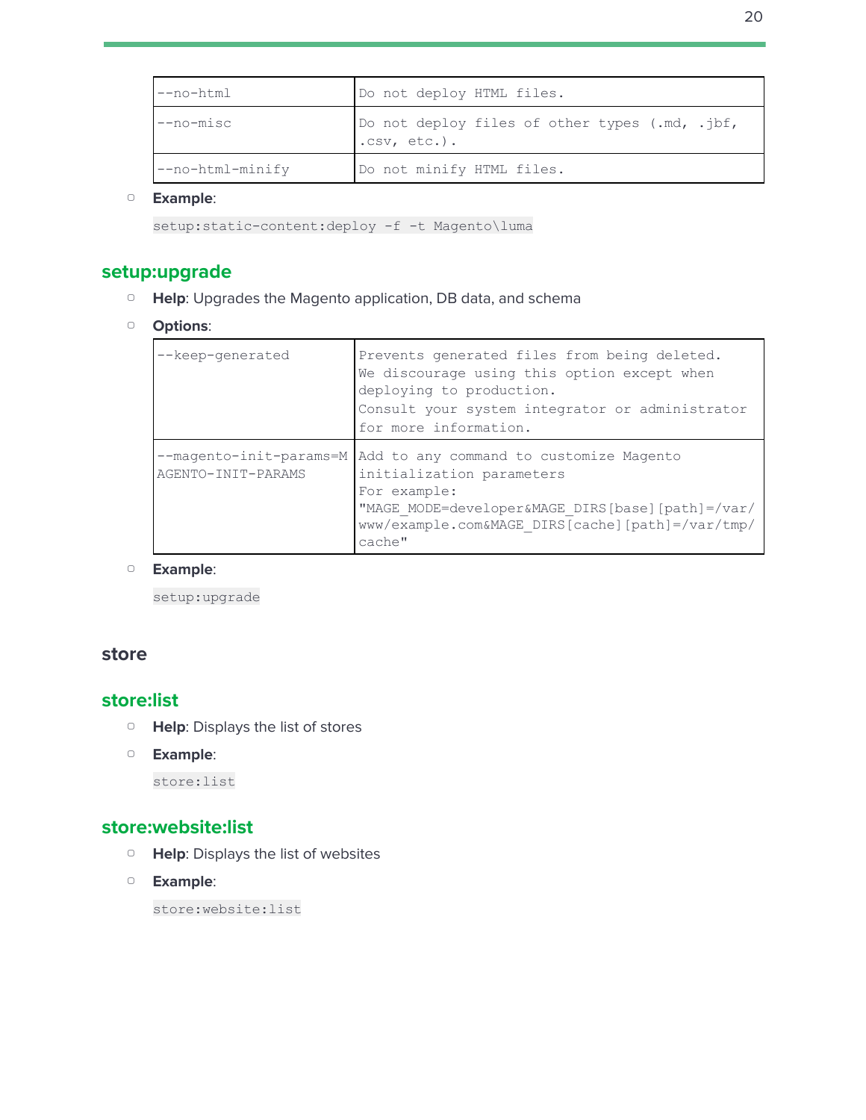| --no-html          | Do not deploy HTML files.                                         |
|--------------------|-------------------------------------------------------------------|
| --no-misc          | Do not deploy files of other types (.md, .jbf,<br>$.CSV, etc.$ ). |
| $--no-thm1-minify$ | Do not minify HTML files.                                         |

setup: static-content: deploy -f -t Magento\luma

#### <span id="page-19-0"></span>**setup:upgrade**

- ▢ **Help**: Upgrades the Magento application, DB data, and schema
- ▢ **Options**:

| --keep-generated                              | Prevents generated files from being deleted.<br>We discourage using this option except when<br>deploying to production.<br>Consult your system integrator or administrator<br>for more information.    |
|-----------------------------------------------|--------------------------------------------------------------------------------------------------------------------------------------------------------------------------------------------------------|
| --magento-init-params=M<br>AGENTO-INIT-PARAMS | Add to any command to customize Magento<br>initialization parameters<br>For example:<br>"MAGE MODE=developer&MAGE DIRS[base][path]=/var/<br>www/example.com&MAGE DIRS[cache][path]=/var/tmp/<br>cache" |

#### ▢ **Example**:

setup:upgrade

#### <span id="page-19-2"></span><span id="page-19-1"></span>**store**

#### **store:list**

- ▢ **Help**: Displays the list of stores
- ▢ **Example**:

store:list

# <span id="page-19-3"></span>**store:website:list**

- ▢ **Help**: Displays the list of websites
- ▢ **Example**:

store:website:list